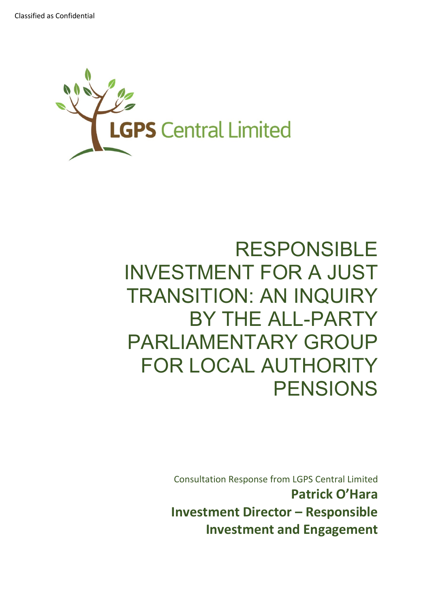

# RESPONSIBLE INVESTMENT FOR A JUST TRANSITION: AN INQUIRY BY THE ALL-PARTY PARLIAMENTARY GROUP FOR LOCAL AUTHORITY PENSIONS

Consultation Response from LGPS Central Limited **Patrick O'Hara Investment Director – Responsible Investment and Engagement**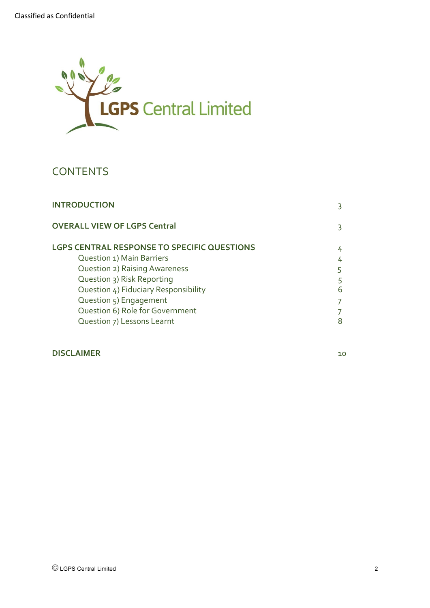

# **CONTENTS**

| <b>INTRODUCTION</b>                                | 3  |
|----------------------------------------------------|----|
| <b>OVERALL VIEW OF LGPS Central</b>                | 3. |
| <b>LGPS CENTRAL RESPONSE TO SPECIFIC QUESTIONS</b> | 4  |
| Question 1) Main Barriers                          | 4  |
| <b>Question 2) Raising Awareness</b>               | 5  |
| Question 3) Risk Reporting                         | 5  |
| Question 4) Fiduciary Responsibility               | 6  |
| Question 5) Engagement                             |    |
| Question 6) Role for Government                    |    |
| Question 7) Lessons Learnt                         | 8  |

## **DISCLAIMER** 10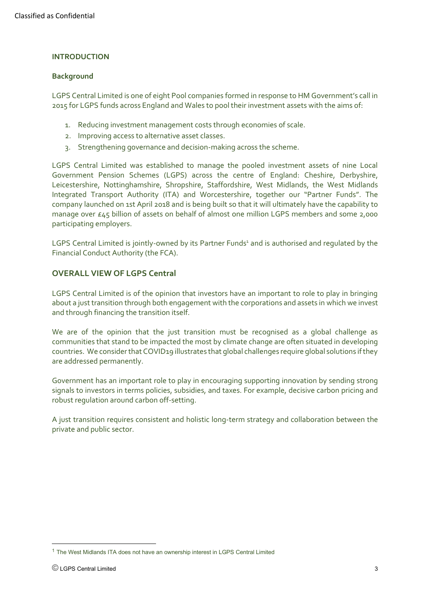#### **INTRODUCTION**

#### **Background**

LGPS Central Limited is one of eight Pool companies formed in response to HM Government's call in 2015 for LGPS funds across England and Wales to pool their investment assets with the aims of:

- 1. Reducing investment management costs through economies of scale.
- 2. Improving access to alternative asset classes.
- 3. Strengthening governance and decision-making across the scheme.

LGPS Central Limited was established to manage the pooled investment assets of nine Local Government Pension Schemes (LGPS) across the centre of England: Cheshire, Derbyshire, Leicestershire, Nottinghamshire, Shropshire, Staffordshire, West Midlands, the West Midlands Integrated Transport Authority (ITA) and Worcestershire, together our "Partner Funds". The company launched on 1st April 2018 and is being built so that it will ultimately have the capability to manage over £45 billion of assets on behalf of almost one million LGPS members and some 2,000 participating employers.

LGPS Central Limited is jointly-owned by its Partner Funds<sup>1</sup> and is authorised and regulated by the Financial Conduct Authority (the FCA).

#### **OVERALL VIEW OF LGPS Central**

LGPS Central Limited is of the opinion that investors have an important to role to play in bringing about a just transition through both engagement with the corporations and assets in which we invest and through financing the transition itself.

We are of the opinion that the just transition must be recognised as a global challenge as communities that stand to be impacted the most by climate change are often situated in developing countries. We consider that COVID19 illustrates that global challenges require global solutions if they are addressed permanently.

Government has an important role to play in encouraging supporting innovation by sending strong signals to investors in terms policies, subsidies, and taxes. For example, decisive carbon pricing and robust regulation around carbon off-setting.

A just transition requires consistent and holistic long-term strategy and collaboration between the private and public sector.

<sup>1</sup> The West Midlands ITA does not have an ownership interest in LGPS Central Limited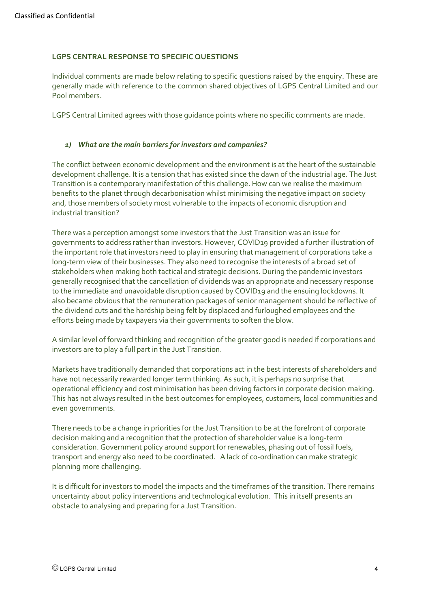#### **LGPS CENTRAL RESPONSE TO SPECIFIC QUESTIONS**

Individual comments are made below relating to specific questions raised by the enquiry. These are generally made with reference to the common shared objectives of LGPS Central Limited and our Pool members.

LGPS Central Limited agrees with those guidance points where no specific comments are made.

#### *1) What are the main barriers for investors and companies?*

The conflict between economic development and the environment is at the heart of the sustainable development challenge. It is a tension that has existed since the dawn of the industrial age. The Just Transition is a contemporary manifestation of this challenge. How can we realise the maximum benefits to the planet through decarbonisation whilst minimising the negative impact on society and, those members of society most vulnerable to the impacts of economic disruption and industrial transition?

There was a perception amongst some investors that the Just Transition was an issue for governments to address rather than investors. However, COVID19 provided a further illustration of the important role that investors need to play in ensuring that management of corporations take a long-term view of their businesses. They also need to recognise the interests of a broad set of stakeholders when making both tactical and strategic decisions. During the pandemic investors generally recognised that the cancellation of dividends was an appropriate and necessary response to the immediate and unavoidable disruption caused by COVID19 and the ensuing lockdowns. It also became obvious that the remuneration packages of senior management should be reflective of the dividend cuts and the hardship being felt by displaced and furloughed employees and the efforts being made by taxpayers via their governments to soften the blow.

A similar level of forward thinking and recognition of the greater good is needed if corporations and investors are to play a full part in the Just Transition.

Markets have traditionally demanded that corporations act in the best interests of shareholders and have not necessarily rewarded longer term thinking. As such, it is perhaps no surprise that operational efficiency and cost minimisation has been driving factors in corporate decision making. This has not always resulted in the best outcomes for employees, customers, local communities and even governments.

There needs to be a change in priorities for the Just Transition to be at the forefront of corporate decision making and a recognition that the protection of shareholder value is a long-term consideration. Government policy around support for renewables, phasing out of fossil fuels, transport and energy also need to be coordinated. A lack of co-ordination can make strategic planning more challenging.

It is difficult for investors to model the impacts and the timeframes of the transition. There remains uncertainty about policy interventions and technological evolution. This in itself presents an obstacle to analysing and preparing for a Just Transition.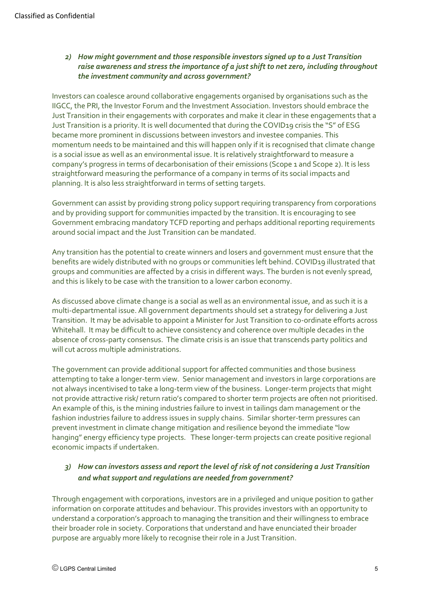#### *2) How might government and those responsible investors signed up to a Just Transition raise awareness and stress the importance of a just shift to net zero, including throughout the investment community and across government?*

Investors can coalesce around collaborative engagements organised by organisations such as the IIGCC, the PRI, the Investor Forum and the Investment Association. Investors should embrace the Just Transition in their engagements with corporates and make it clear in these engagements that a Just Transition is a priority. It is well documented that during the COVID19 crisis the "S" of ESG became more prominent in discussions between investors and investee companies. This momentum needs to be maintained and this will happen only if it is recognised that climate change is a social issue as well as an environmental issue. It is relatively straightforward to measure a company's progress in terms of decarbonisation of their emissions (Scope 1 and Scope 2). It is less straightforward measuring the performance of a company in terms of its social impacts and planning. It is also less straightforward in terms of setting targets.

Government can assist by providing strong policy support requiring transparency from corporations and by providing support for communities impacted by the transition. It is encouraging to see Government embracing mandatory TCFD reporting and perhaps additional reporting requirements around social impact and the Just Transition can be mandated.

Any transition has the potential to create winners and losers and government must ensure that the benefits are widely distributed with no groups or communities left behind. COVID19 illustrated that groups and communities are affected by a crisis in different ways. The burden is not evenly spread, and this is likely to be case with the transition to a lower carbon economy.

As discussed above climate change is a social as well as an environmental issue, and as such it is a multi-departmental issue. All government departments should set a strategy for delivering a Just Transition. It may be advisable to appoint a Minister for Just Transition to co-ordinate efforts across Whitehall. It may be difficult to achieve consistency and coherence over multiple decades in the absence of cross-party consensus. The climate crisis is an issue that transcends party politics and will cut across multiple administrations.

The government can provide additional support for affected communities and those business attempting to take a longer-term view. Senior management and investors in large corporations are not always incentivised to take a long-term view of the business. Longer-term projects that might not provide attractive risk/ return ratio's compared to shorter term projects are often not prioritised. An example of this, is the mining industries failure to invest in tailings dam management or the fashion industries failure to address issues in supply chains. Similar shorter-term pressures can prevent investment in climate change mitigation and resilience beyond the immediate "low hanging" energy efficiency type projects. These longer-term projects can create positive regional economic impacts if undertaken.

## *3) How can investors assess and report the level of risk of not considering a Just Transition and what support and regulations are needed from government?*

Through engagement with corporations, investors are in a privileged and unique position to gather information on corporate attitudes and behaviour. This provides investors with an opportunity to understand a corporation's approach to managing the transition and their willingness to embrace their broader role in society. Corporations that understand and have enunciated their broader purpose are arguably more likely to recognise their role in a Just Transition.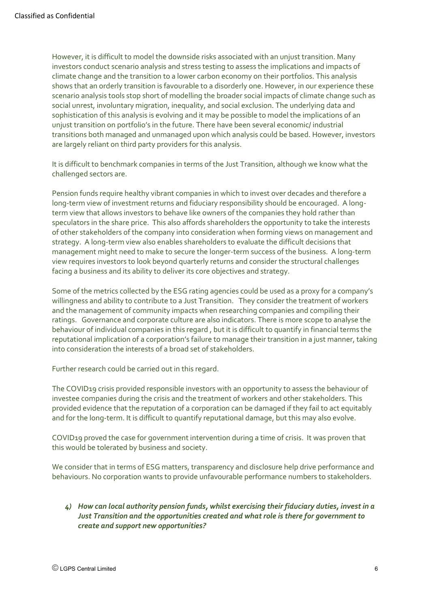However, it is difficult to model the downside risks associated with an unjust transition. Many investors conduct scenario analysis and stress testing to assess the implications and impacts of climate change and the transition to a lower carbon economy on their portfolios. This analysis shows that an orderly transition is favourable to a disorderly one. However, in our experience these scenario analysis tools stop short of modelling the broader social impacts of climate change such as social unrest, involuntary migration, inequality, and social exclusion. The underlying data and sophistication of this analysis is evolving and it may be possible to model the implications of an unjust transition on portfolio's in the future. There have been several economic/ industrial transitions both managed and unmanaged upon which analysis could be based. However, investors are largely reliant on third party providers for this analysis.

It is difficult to benchmark companies in terms of the Just Transition, although we know what the challenged sectors are.

Pension funds require healthy vibrant companies in which to invest over decades and therefore a long-term view of investment returns and fiduciary responsibility should be encouraged. A longterm view that allows investors to behave like owners of the companies they hold rather than speculators in the share price. This also affords shareholders the opportunity to take the interests of other stakeholders of the company into consideration when forming views on management and strategy. A long-term view also enables shareholders to evaluate the difficult decisions that management might need to make to secure the longer-term success of the business. A long-term view requires investors to look beyond quarterly returns and consider the structural challenges facing a business and its ability to deliver its core objectives and strategy.

Some of the metrics collected by the ESG rating agencies could be used as a proxy for a company's willingness and ability to contribute to a Just Transition. They consider the treatment of workers and the management of community impacts when researching companies and compiling their ratings. Governance and corporate culture are also indicators. There is more scope to analyse the behaviour of individual companies in this regard , but it is difficult to quantify in financial terms the reputational implication of a corporation's failure to manage their transition in a just manner, taking into consideration the interests of a broad set of stakeholders.

Further research could be carried out in this regard.

The COVID19 crisis provided responsible investors with an opportunity to assess the behaviour of investee companies during the crisis and the treatment of workers and other stakeholders. This provided evidence that the reputation of a corporation can be damaged if they fail to act equitably and for the long-term. It is difficult to quantify reputational damage, but this may also evolve.

COVID19 proved the case for government intervention during a time of crisis. It was proven that this would be tolerated by business and society.

We consider that in terms of ESG matters, transparency and disclosure help drive performance and behaviours. No corporation wants to provide unfavourable performance numbers to stakeholders.

#### *4) How can local authority pension funds, whilst exercising their fiduciary duties, invest in a Just Transition and the opportunities created and what role is there for government to create and support new opportunities?*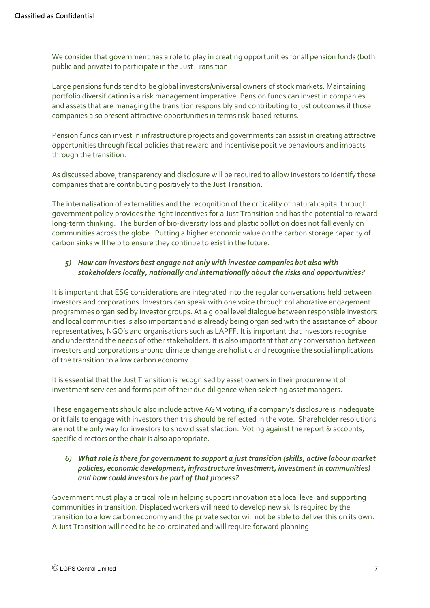We consider that government has a role to play in creating opportunities for all pension funds (both public and private) to participate in the Just Transition.

Large pensions funds tend to be global investors/universal owners of stock markets. Maintaining portfolio diversification is a risk management imperative. Pension funds can invest in companies and assets that are managing the transition responsibly and contributing to just outcomes if those companies also present attractive opportunities in terms risk-based returns.

Pension funds can invest in infrastructure projects and governments can assist in creating attractive opportunities through fiscal policies that reward and incentivise positive behaviours and impacts through the transition.

As discussed above, transparency and disclosure will be required to allow investors to identify those companies that are contributing positively to the Just Transition.

The internalisation of externalities and the recognition of the criticality of natural capital through government policy provides the right incentives for a Just Transition and has the potential to reward long-term thinking. The burden of bio-diversity loss and plastic pollution does not fall evenly on communities across the globe. Putting a higher economic value on the carbon storage capacity of carbon sinks will help to ensure they continue to exist in the future.

#### *5) How can investors best engage not only with investee companies but also with stakeholders locally, nationally and internationally about the risks and opportunities?*

It is important that ESG considerations are integrated into the regular conversations held between investors and corporations. Investors can speak with one voice through collaborative engagement programmes organised by investor groups. At a global level dialogue between responsible investors and local communities is also important and is already being organised with the assistance of labour representatives, NGO's and organisations such as LAPFF. It is important that investors recognise and understand the needs of other stakeholders. It is also important that any conversation between investors and corporations around climate change are holistic and recognise the social implications of the transition to a low carbon economy.

It is essential that the Just Transition is recognised by asset owners in their procurement of investment services and forms part of their due diligence when selecting asset managers.

These engagements should also include active AGM voting, if a company's disclosure is inadequate or it fails to engage with investors then this should be reflected in the vote. Shareholder resolutions are not the only way for investors to show dissatisfaction. Voting against the report & accounts, specific directors or the chair is also appropriate.

#### *6) What role is there for government to support a just transition (skills, active labour market policies, economic development, infrastructure investment, investment in communities) and how could investors be part of that process?*

Government must play a critical role in helping support innovation at a local level and supporting communities in transition. Displaced workers will need to develop new skills required by the transition to a low carbon economy and the private sector will not be able to deliver this on its own. A Just Transition will need to be co-ordinated and will require forward planning.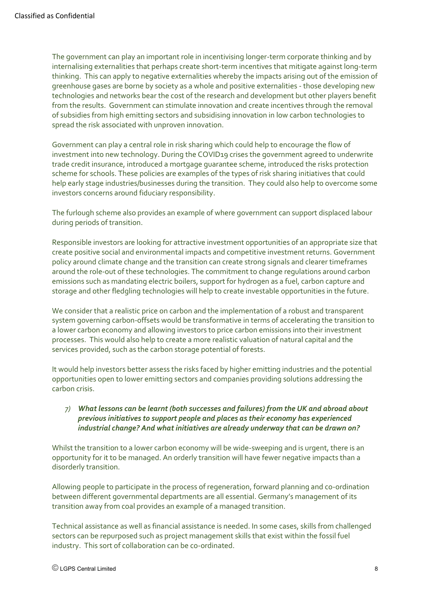The government can play an important role in incentivising longer-term corporate thinking and by internalising externalities that perhaps create short-term incentives that mitigate against long-term thinking. This can apply to negative externalities whereby the impacts arising out of the emission of greenhouse gases are borne by society as a whole and positive externalities - those developing new technologies and networks bear the cost of the research and development but other players benefit from the results. Government can stimulate innovation and create incentives through the removal of subsidies from high emitting sectors and subsidising innovation in low carbon technologies to spread the risk associated with unproven innovation.

Government can play a central role in risk sharing which could help to encourage the flow of investment into new technology. During the COVID19 crises the government agreed to underwrite trade credit insurance, introduced a mortgage guarantee scheme, introduced the risks protection scheme for schools. These policies are examples of the types of risk sharing initiatives that could help early stage industries/businesses during the transition. They could also help to overcome some investors concerns around fiduciary responsibility.

The furlough scheme also provides an example of where government can support displaced labour during periods of transition.

Responsible investors are looking for attractive investment opportunities of an appropriate size that create positive social and environmental impacts and competitive investment returns. Government policy around climate change and the transition can create strong signals and clearer timeframes around the role-out of these technologies. The commitment to change regulations around carbon emissions such as mandating electric boilers, support for hydrogen as a fuel, carbon capture and storage and other fledgling technologies will help to create investable opportunities in the future.

We consider that a realistic price on carbon and the implementation of a robust and transparent system governing carbon-offsets would be transformative in terms of accelerating the transition to a lower carbon economy and allowing investors to price carbon emissions into their investment processes. This would also help to create a more realistic valuation of natural capital and the services provided, such as the carbon storage potential of forests.

It would help investors better assess the risks faced by higher emitting industries and the potential opportunities open to lower emitting sectors and companies providing solutions addressing the carbon crisis.

#### *7) What lessons can be learnt (both successes and failures) from the UK and abroad about previous initiatives to support people and places as their economy has experienced industrial change? And what initiatives are already underway that can be drawn on?*

Whilst the transition to a lower carbon economy will be wide-sweeping and is urgent, there is an opportunity for it to be managed. An orderly transition will have fewer negative impacts than a disorderly transition.

Allowing people to participate in the process of regeneration, forward planning and co-ordination between different governmental departments are all essential. Germany's management of its transition away from coal provides an example of a managed transition.

Technical assistance as well as financial assistance is needed. In some cases, skills from challenged sectors can be repurposed such as project management skills that exist within the fossil fuel industry. This sort of collaboration can be co-ordinated.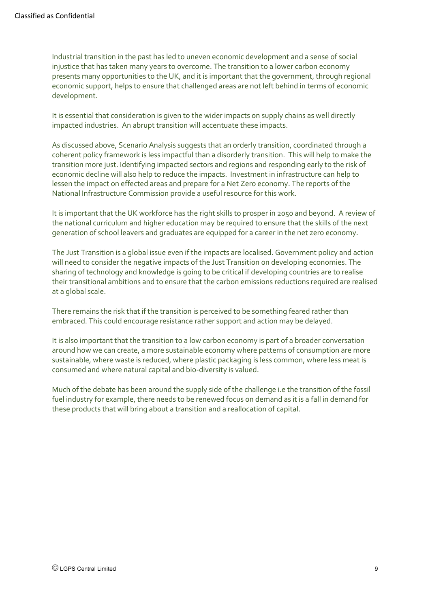Industrial transition in the past has led to uneven economic development and a sense of social injustice that has taken many years to overcome. The transition to a lower carbon economy presents many opportunities to the UK, and it is important that the government, through regional economic support, helps to ensure that challenged areas are not left behind in terms of economic development.

It is essential that consideration is given to the wider impacts on supply chains as well directly impacted industries. An abrupt transition will accentuate these impacts.

As discussed above, Scenario Analysis suggests that an orderly transition, coordinated through a coherent policy framework is less impactful than a disorderly transition. This will help to make the transition more just. Identifying impacted sectors and regions and responding early to the risk of economic decline will also help to reduce the impacts. Investment in infrastructure can help to lessen the impact on effected areas and prepare for a Net Zero economy. The reports of the National Infrastructure Commission provide a useful resource for this work.

It is important that the UK workforce has the right skills to prosper in 2050 and beyond. A review of the national curriculum and higher education may be required to ensure that the skills of the next generation of school leavers and graduates are equipped for a career in the net zero economy.

The Just Transition is a global issue even if the impacts are localised. Government policy and action will need to consider the negative impacts of the Just Transition on developing economies. The sharing of technology and knowledge is going to be critical if developing countries are to realise their transitional ambitions and to ensure that the carbon emissions reductions required are realised at a global scale.

There remains the risk that if the transition is perceived to be something feared rather than embraced. This could encourage resistance rather support and action may be delayed.

It is also important that the transition to a low carbon economy is part of a broader conversation around how we can create, a more sustainable economy where patterns of consumption are more sustainable, where waste is reduced, where plastic packaging is less common, where less meat is consumed and where natural capital and bio-diversity is valued.

Much of the debate has been around the supply side of the challenge i.e the transition of the fossil fuel industry for example, there needs to be renewed focus on demand as it is a fall in demand for these products that will bring about a transition and a reallocation of capital.